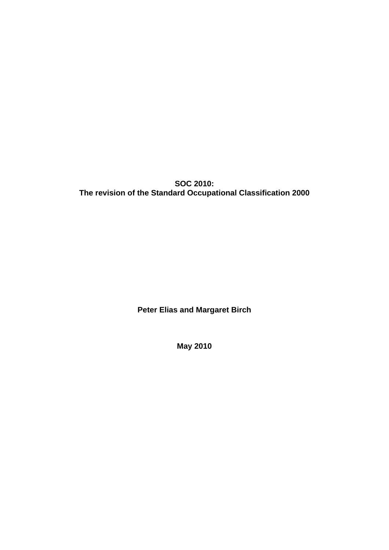**SOC 2010: The revision of the Standard Occupational Classification 2000** 

**Peter Elias and Margaret Birch** 

**May 2010**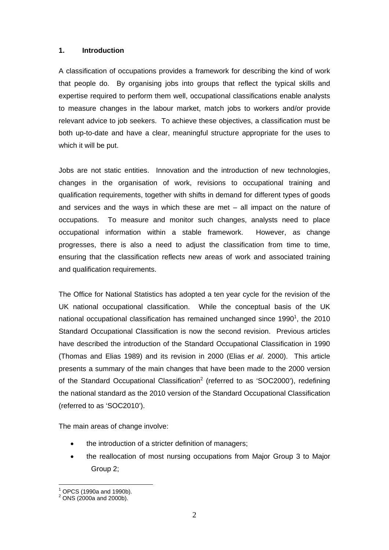## **1. Introduction**

A classification of occupations provides a framework for describing the kind of work that people do. By organising jobs into groups that reflect the typical skills and expertise required to perform them well, occupational classifications enable analysts to measure changes in the labour market, match jobs to workers and/or provide relevant advice to job seekers. To achieve these objectives, a classification must be both up-to-date and have a clear, meaningful structure appropriate for the uses to which it will be put.

Jobs are not static entities. Innovation and the introduction of new technologies, changes in the organisation of work, revisions to occupational training and qualification requirements, together with shifts in demand for different types of goods and services and the ways in which these are met – all impact on the nature of occupations. To measure and monitor such changes, analysts need to place occupational information within a stable framework. However, as change progresses, there is also a need to adjust the classification from time to time, ensuring that the classification reflects new areas of work and associated training and qualification requirements.

The Office for National Statistics has adopted a ten year cycle for the revision of the UK national occupational classification. While the conceptual basis of the UK national occupational classification has remained unchanged since 1990<sup>1</sup>, the 2010 Standard Occupational Classification is now the second revision. Previous articles have described the introduction of the Standard Occupational Classification in 1990 (Thomas and Elias 1989) and its revision in 2000 (Elias *et al*. 2000). This article presents a summary of the main changes that have been made to the 2000 version of the Standard Occupational Classification<sup>2</sup> (referred to as 'SOC2000'), redefining the national standard as the 2010 version of the Standard Occupational Classification (referred to as 'SOC2010').

The main areas of change involve:

- the introduction of a stricter definition of managers;
- the reallocation of most nursing occupations from Major Group 3 to Major Group 2;

 $\overline{a}$ 1 OPCS (1990a and 1990b).

 $^{2}$  ONS (2000a and 2000b).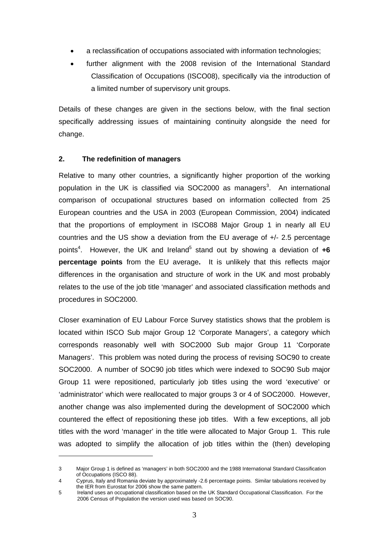- a reclassification of occupations associated with information technologies;
- further alignment with the 2008 revision of the International Standard Classification of Occupations (ISCO08), specifically via the introduction of a limited number of supervisory unit groups.

Details of these changes are given in the sections below, with the final section specifically addressing issues of maintaining continuity alongside the need for change.

#### **2. The redefinition of managers**

 $\overline{a}$ 

Relative to many other countries, a significantly higher proportion of the working population in the UK is classified via SOC2000 as managers<sup>3</sup>. An international comparison of occupational structures based on information collected from 25 European countries and the USA in 2003 (European Commission, 2004) indicated that the proportions of employment in ISCO88 Major Group 1 in nearly all EU countries and the US show a deviation from the EU average of +/- 2.5 percentage points<sup>4</sup>. However, the UK and Ireland<sup>5</sup> stand out by showing a deviation of +6 **percentage points** from the EU average**.** It is unlikely that this reflects major differences in the organisation and structure of work in the UK and most probably relates to the use of the job title 'manager' and associated classification methods and procedures in SOC2000.

Closer examination of EU Labour Force Survey statistics shows that the problem is located within ISCO Sub major Group 12 'Corporate Managers', a category which corresponds reasonably well with SOC2000 Sub major Group 11 'Corporate Managers'. This problem was noted during the process of revising SOC90 to create SOC2000. A number of SOC90 job titles which were indexed to SOC90 Sub major Group 11 were repositioned, particularly job titles using the word 'executive' or 'administrator' which were reallocated to major groups 3 or 4 of SOC2000. However, another change was also implemented during the development of SOC2000 which countered the effect of repositioning these job titles. With a few exceptions, all job titles with the word 'manager' in the title were allocated to Major Group 1. This rule was adopted to simplify the allocation of job titles within the (then) developing

<sup>3</sup> Major Group 1 is defined as 'managers' in both SOC2000 and the 1988 International Standard Classification of Occupations (ISCO 88).

<sup>4</sup> Cyprus, Italy and Romania deviate by approximately -2.6 percentage points. Similar tabulations received by the IER from Eurostat for 2006 show the same pattern.

<sup>5</sup> Ireland uses an occupational classification based on the UK Standard Occupational Classification. For the 2006 Census of Population the version used was based on SOC90.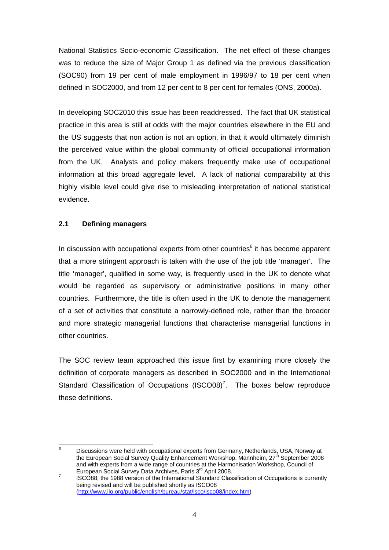National Statistics Socio-economic Classification. The net effect of these changes was to reduce the size of Major Group 1 as defined via the previous classification (SOC90) from 19 per cent of male employment in 1996/97 to 18 per cent when defined in SOC2000, and from 12 per cent to 8 per cent for females (ONS, 2000a).

In developing SOC2010 this issue has been readdressed. The fact that UK statistical practice in this area is still at odds with the major countries elsewhere in the EU and the US suggests that non action is not an option, in that it would ultimately diminish the perceived value within the global community of official occupational information from the UK. Analysts and policy makers frequently make use of occupational information at this broad aggregate level. A lack of national comparability at this highly visible level could give rise to misleading interpretation of national statistical evidence.

# **2.1 Defining managers**

In discussion with occupational experts from other countries<sup>6</sup> it has become apparent that a more stringent approach is taken with the use of the job title 'manager'. The title 'manager', qualified in some way, is frequently used in the UK to denote what would be regarded as supervisory or administrative positions in many other countries. Furthermore, the title is often used in the UK to denote the management of a set of activities that constitute a narrowly-defined role, rather than the broader and more strategic managerial functions that characterise managerial functions in other countries.

The SOC review team approached this issue first by examining more closely the definition of corporate managers as described in SOC2000 and in the International Standard Classification of Occupations  $(ISCO08)^7$ . The boxes below reproduce these definitions.

<sup>-&</sup>lt;br>6 Discussions were held with occupational experts from Germany, Netherlands, USA, Norway at the European Social Survey Quality Enhancement Workshop, Mannheim, 27<sup>th</sup> September 2008 and with experts from a wide range of countries at the Harmonisation Workshop, Council of European Social Survey Data Archives, Paris 3<sup>rd</sup> April 2008.

ISCO88, the 1988 version of the International Standard Classification of Occupations is currently being revised and will be published shortly as ISCO08 (http://www.ilo.org/public/english/bureau/stat/isco/isco08/index.htm)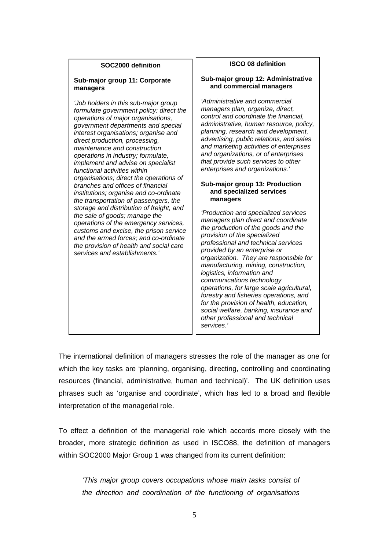| SOC2000 definition                                                                                                                                                                                                                                                                                                                                                                                                                                                                                                                                                                                                                                                                                                                                                                                                                        | <b>ISCO 08 definition</b>                                                                                                                                                                                                                                                                                                                                                                                                                                                                                                                                                                                                                                                                                                                                                                                                                                                                                                                                                                                                                                                                |
|-------------------------------------------------------------------------------------------------------------------------------------------------------------------------------------------------------------------------------------------------------------------------------------------------------------------------------------------------------------------------------------------------------------------------------------------------------------------------------------------------------------------------------------------------------------------------------------------------------------------------------------------------------------------------------------------------------------------------------------------------------------------------------------------------------------------------------------------|------------------------------------------------------------------------------------------------------------------------------------------------------------------------------------------------------------------------------------------------------------------------------------------------------------------------------------------------------------------------------------------------------------------------------------------------------------------------------------------------------------------------------------------------------------------------------------------------------------------------------------------------------------------------------------------------------------------------------------------------------------------------------------------------------------------------------------------------------------------------------------------------------------------------------------------------------------------------------------------------------------------------------------------------------------------------------------------|
| Sub-major group 11: Corporate<br>managers                                                                                                                                                                                                                                                                                                                                                                                                                                                                                                                                                                                                                                                                                                                                                                                                 | Sub-major group 12: Administrative<br>and commercial managers                                                                                                                                                                                                                                                                                                                                                                                                                                                                                                                                                                                                                                                                                                                                                                                                                                                                                                                                                                                                                            |
| 'Job holders in this sub-major group<br>formulate government policy: direct the<br>operations of major organisations,<br>government departments and special<br>interest organisations; organise and<br>direct production, processing,<br>maintenance and construction<br>operations in industry; formulate,<br>implement and advise on specialist<br>functional activities within<br>organisations; direct the operations of<br>branches and offices of financial<br>institutions; organise and co-ordinate<br>the transportation of passengers, the<br>storage and distribution of freight, and<br>the sale of goods; manage the<br>operations of the emergency services,<br>customs and excise, the prison service<br>and the armed forces; and co-ordinate<br>the provision of health and social care<br>services and establishments.' | 'Administrative and commercial<br>managers plan, organize, direct,<br>control and coordinate the financial,<br>administrative, human resource, policy,<br>planning, research and development,<br>advertising, public relations, and sales<br>and marketing activities of enterprises<br>and organizations, or of enterprises<br>that provide such services to other<br>enterprises and organizations.'<br>Sub-major group 13: Production<br>and specialized services<br>managers<br>'Production and specialized services<br>managers plan direct and coordinate<br>the production of the goods and the<br>provision of the specialized<br>professional and technical services<br>provided by an enterprise or<br>organization. They are responsible for<br>manufacturing, mining, construction,<br>logistics, information and<br>communications technology<br>operations, for large scale agricultural,<br>forestry and fisheries operations, and<br>for the provision of health, education,<br>social welfare, banking, insurance and<br>other professional and technical<br>services.' |

'nГ

The international definition of managers stresses the role of the manager as one for which the key tasks are 'planning, organising, directing, controlling and coordinating resources (financial, administrative, human and technical)'. The UK definition uses phrases such as 'organise and coordinate', which has led to a broad and flexible interpretation of the managerial role.

To effect a definition of the managerial role which accords more closely with the broader, more strategic definition as used in ISCO88, the definition of managers within SOC2000 Major Group 1 was changed from its current definition:

*'This major group covers occupations whose main tasks consist of the direction and coordination of the functioning of organisations*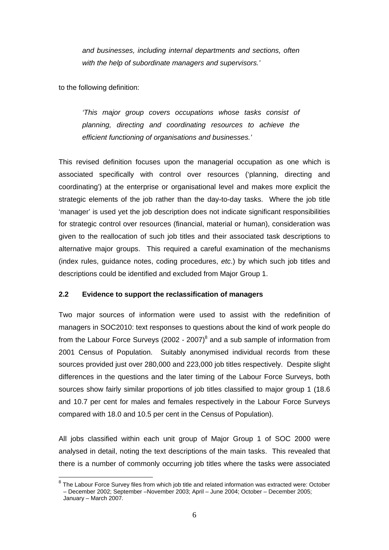*and businesses, including internal departments and sections, often with the help of subordinate managers and supervisors.'* 

to the following definition:

 $\overline{a}$ 

*'This major group covers occupations whose tasks consist of planning, directing and coordinating resources to achieve the efficient functioning of organisations and businesses.'*

This revised definition focuses upon the managerial occupation as one which is associated specifically with control over resources ('planning, directing and coordinating') at the enterprise or organisational level and makes more explicit the strategic elements of the job rather than the day-to-day tasks. Where the job title 'manager' is used yet the job description does not indicate significant responsibilities for strategic control over resources (financial, material or human), consideration was given to the reallocation of such job titles and their associated task descriptions to alternative major groups. This required a careful examination of the mechanisms (index rules, guidance notes, coding procedures, *etc*.) by which such job titles and descriptions could be identified and excluded from Major Group 1.

#### **2.2 Evidence to support the reclassification of managers**

Two major sources of information were used to assist with the redefinition of managers in SOC2010: text responses to questions about the kind of work people do from the Labour Force Surveys (2002 - 2007) $^8$  and a sub sample of information from 2001 Census of Population. Suitably anonymised individual records from these sources provided just over 280,000 and 223,000 job titles respectively. Despite slight differences in the questions and the later timing of the Labour Force Surveys, both sources show fairly similar proportions of job titles classified to major group 1 (18.6) and 10.7 per cent for males and females respectively in the Labour Force Surveys compared with 18.0 and 10.5 per cent in the Census of Population).

All jobs classified within each unit group of Major Group 1 of SOC 2000 were analysed in detail, noting the text descriptions of the main tasks. This revealed that there is a number of commonly occurring job titles where the tasks were associated

 $8$  The Labour Force Survey files from which job title and related information was extracted were: October – December 2002; September –November 2003; April – June 2004; October – December 2005; January – March 2007.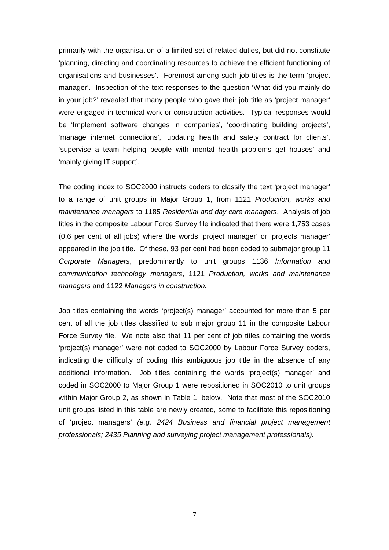primarily with the organisation of a limited set of related duties, but did not constitute 'planning, directing and coordinating resources to achieve the efficient functioning of organisations and businesses'. Foremost among such job titles is the term 'project manager'. Inspection of the text responses to the question 'What did you mainly do in your job?' revealed that many people who gave their job title as 'project manager' were engaged in technical work or construction activities. Typical responses would be 'Implement software changes in companies', 'coordinating building projects', 'manage internet connections', 'updating health and safety contract for clients', 'supervise a team helping people with mental health problems get houses' and 'mainly giving IT support'.

The coding index to SOC2000 instructs coders to classify the text 'project manager' to a range of unit groups in Major Group 1, from 1121 *Production, works and maintenance managers* to 1185 *Residential and day care managers*. Analysis of job titles in the composite Labour Force Survey file indicated that there were 1,753 cases (0.6 per cent of all jobs) where the words 'project manager' or 'projects manager' appeared in the job title. Of these, 93 per cent had been coded to submajor group 11 *Corporate Managers*, predominantly to unit groups 1136 *Information and communication technology managers*, 1121 *Production, works and maintenance managers* and 1122 *Managers in construction.* 

Job titles containing the words 'project(s) manager' accounted for more than 5 per cent of all the job titles classified to sub major group 11 in the composite Labour Force Survey file. We note also that 11 per cent of job titles containing the words 'project(s) manager' were not coded to SOC2000 by Labour Force Survey coders, indicating the difficulty of coding this ambiguous job title in the absence of any additional information. Job titles containing the words 'project(s) manager' and coded in SOC2000 to Major Group 1 were repositioned in SOC2010 to unit groups within Major Group 2, as shown in Table 1, below. Note that most of the SOC2010 unit groups listed in this table are newly created, some to facilitate this repositioning of 'project managers' *(e.g. 2424 Business and financial project management professionals; 2435 Planning and surveying project management professionals).*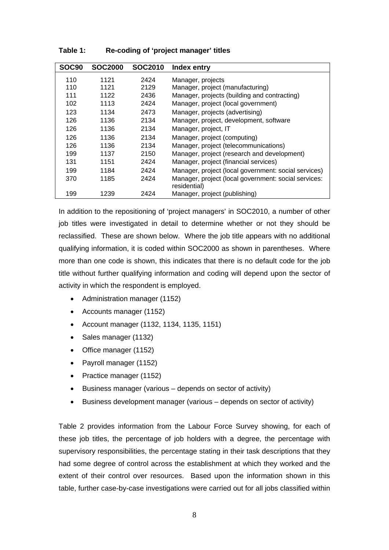| <b>SOC90</b> | <b>SOC2000</b> | <b>SOC2010</b> | Index entry                                                          |
|--------------|----------------|----------------|----------------------------------------------------------------------|
| 110          | 1121           | 2424           | Manager, projects                                                    |
| 110          | 1121           | 2129           | Manager, project (manufacturing)                                     |
| 111          | 1122           | 2436           | Manager, projects (building and contracting)                         |
| 102          | 1113           | 2424           | Manager, project (local government)                                  |
| 123          | 1134           | 2473           | Manager, projects (advertising)                                      |
| 126          | 1136           | 2134           | Manager, project, development, software                              |
| 126          | 1136           | 2134           | Manager, project, IT                                                 |
| 126          | 1136           | 2134           | Manager, project (computing)                                         |
| 126          | 1136           | 2134           | Manager, project (telecommunications)                                |
| 199          | 1137           | 2150           | Manager, project (research and development)                          |
| 131          | 1151           | 2424           | Manager, project (financial services)                                |
| 199          | 1184           | 2424           | Manager, project (local government: social services)                 |
| 370          | 1185           | 2424           | Manager, project (local government: social services:<br>residential) |
| 199          | 1239           | 2424           | Manager, project (publishing)                                        |

**Table 1: Re-coding of 'project manager' titles** 

In addition to the repositioning of 'project managers' in SOC2010, a number of other job titles were investigated in detail to determine whether or not they should be reclassified. These are shown below. Where the job title appears with no additional qualifying information, it is coded within SOC2000 as shown in parentheses. Where more than one code is shown, this indicates that there is no default code for the job title without further qualifying information and coding will depend upon the sector of activity in which the respondent is employed.

- Administration manager (1152)
- Accounts manager (1152)
- Account manager (1132, 1134, 1135, 1151)
- Sales manager (1132)
- Office manager (1152)
- Payroll manager (1152)
- Practice manager (1152)
- Business manager (various depends on sector of activity)
- Business development manager (various depends on sector of activity)

Table 2 provides information from the Labour Force Survey showing, for each of these job titles, the percentage of job holders with a degree, the percentage with supervisory responsibilities, the percentage stating in their task descriptions that they had some degree of control across the establishment at which they worked and the extent of their control over resources. Based upon the information shown in this table, further case-by-case investigations were carried out for all jobs classified within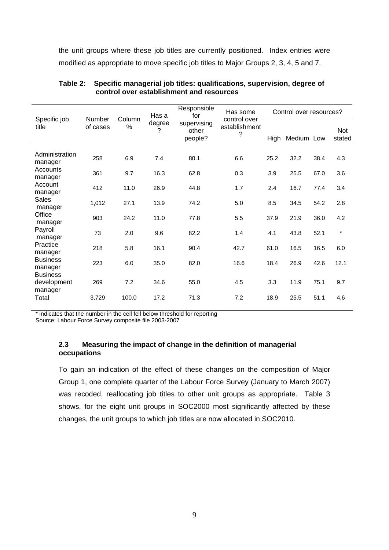the unit groups where these job titles are currently positioned. Index entries were modified as appropriate to move specific job titles to Major Groups 2, 3, 4, 5 and 7.

| Specific job                              | Has some<br>Has a<br>for<br>Column<br>Number<br>control over<br>degree<br>supervising<br>$\%$<br>of cases<br>?<br>other<br>?<br>people? |       |               | Responsible |            | Control over resources? |                      |      |         |
|-------------------------------------------|-----------------------------------------------------------------------------------------------------------------------------------------|-------|---------------|-------------|------------|-------------------------|----------------------|------|---------|
| title                                     |                                                                                                                                         |       | establishment | High        | Medium Low |                         | <b>Not</b><br>stated |      |         |
| Administration<br>manager                 | 258                                                                                                                                     | 6.9   | 7.4           | 80.1        | 6.6        | 25.2                    | 32.2                 | 38.4 | 4.3     |
| Accounts<br>manager                       | 361                                                                                                                                     | 9.7   | 16.3          | 62.8        | 0.3        | 3.9                     | 25.5                 | 67.0 | 3.6     |
| Account<br>manager                        | 412                                                                                                                                     | 11.0  | 26.9          | 44.8        | 1.7        | 2.4                     | 16.7                 | 77.4 | 3.4     |
| <b>Sales</b><br>manager                   | 1,012                                                                                                                                   | 27.1  | 13.9          | 74.2        | 5.0        | 8.5                     | 34.5                 | 54.2 | 2.8     |
| Office<br>manager                         | 903                                                                                                                                     | 24.2  | 11.0          | 77.8        | 5.5        | 37.9                    | 21.9                 | 36.0 | 4.2     |
| Payroll<br>manager                        | 73                                                                                                                                      | 2.0   | 9.6           | 82.2        | 1.4        | 4.1                     | 43.8                 | 52.1 | $\star$ |
| Practice<br>manager                       | 218                                                                                                                                     | 5.8   | 16.1          | 90.4        | 42.7       | 61.0                    | 16.5                 | 16.5 | 6.0     |
| <b>Business</b><br>manager                | 223                                                                                                                                     | 6.0   | 35.0          | 82.0        | 16.6       | 18.4                    | 26.9                 | 42.6 | 12.1    |
| <b>Business</b><br>development<br>manager | 269                                                                                                                                     | 7.2   | 34.6          | 55.0        | 4.5        | 3.3                     | 11.9                 | 75.1 | 9.7     |
| Total                                     | 3,729                                                                                                                                   | 100.0 | 17.2          | 71.3        | 7.2        | 18.9                    | 25.5                 | 51.1 | 4.6     |

#### **Table 2: Specific managerial job titles: qualifications, supervision, degree of control over establishment and resources**

\* indicates that the number in the cell fell below threshold for reporting

Source: Labour Force Survey composite file 2003-2007

# **2.3 Measuring the impact of change in the definition of managerial occupations**

To gain an indication of the effect of these changes on the composition of Major Group 1, one complete quarter of the Labour Force Survey (January to March 2007) was recoded, reallocating job titles to other unit groups as appropriate. Table 3 shows, for the eight unit groups in SOC2000 most significantly affected by these changes, the unit groups to which job titles are now allocated in SOC2010.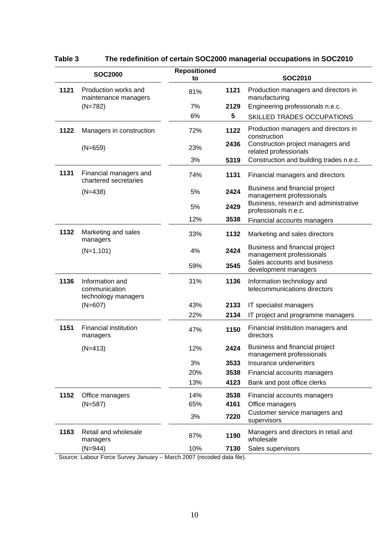|      | <b>SOC2000</b>                                          | <b>Repositioned</b><br>to |      | <b>SOC2010</b>                                                |
|------|---------------------------------------------------------|---------------------------|------|---------------------------------------------------------------|
| 1121 | Production works and<br>maintenance managers            | 81%                       | 1121 | Production managers and directors in<br>manufacturing         |
|      | $(N=782)$                                               | 7%                        | 2129 | Engineering professionals n.e.c.                              |
|      |                                                         | 6%                        | 5    | <b>SKILLED TRADES OCCUPATIONS</b>                             |
| 1122 | Managers in construction                                | 72%                       | 1122 | Production managers and directors in<br>construction          |
|      | $(N=659)$                                               | 23%                       | 2436 | Construction project managers and<br>related professionals    |
|      |                                                         | 3%                        | 5319 | Construction and building trades n.e.c.                       |
| 1131 | Financial managers and<br>chartered secretaries         | 74%                       | 1131 | Financial managers and directors                              |
|      | $(N=438)$                                               | 5%                        | 2424 | Business and financial project<br>management professionals    |
|      |                                                         | 5%                        | 2429 | Business, research and administrative<br>professionals n.e.c. |
|      |                                                         | 12%                       | 3538 | Financial accounts managers                                   |
| 1132 | Marketing and sales<br>managers                         | 33%                       | 1132 | Marketing and sales directors                                 |
|      | $(N=1, 101)$                                            | 4%                        | 2424 | Business and financial project<br>management professionals    |
|      |                                                         | 59%                       | 3545 | Sales accounts and business<br>development managers           |
| 1136 | Information and<br>communication<br>technology managers | 31%                       | 1136 | Information technology and<br>telecommunications directors    |
|      | $(N=607)$                                               | 43%                       | 2133 | IT specialist managers                                        |
|      |                                                         | 22%                       | 2134 | IT project and programme managers                             |
| 1151 | <b>Financial institution</b><br>managers                | 47%                       | 1150 | Financial institution managers and<br>directors               |
|      | $(N=413)$                                               | 12%                       | 2424 | Business and financial project<br>management professionals    |
|      |                                                         | 3%                        | 3533 | Insurance underwriters                                        |
|      |                                                         | 20%                       | 3538 | Financial accounts managers                                   |
|      |                                                         | 13%                       | 4123 | Bank and post office clerks                                   |
| 1152 | Office managers                                         | 14%                       | 3538 | Financial accounts managers                                   |
|      | $(N=587)$                                               | 65%                       | 4161 | Office managers                                               |
|      |                                                         | 3%                        | 7220 | Customer service managers and<br>supervisors                  |
| 1163 | Retail and wholesale<br>managers                        | 87%                       | 1190 | Managers and directors in retail and<br>wholesale             |
|      | $(N=944)$<br>as Cuniou Jonuary March 2007               | 10%                       | 7130 | Sales supervisors                                             |

# **Table 3 The redefinition of certain SOC2000 managerial occupations in SOC2010**

Source: Labour Force Survey January – March 2007 (recoded data file).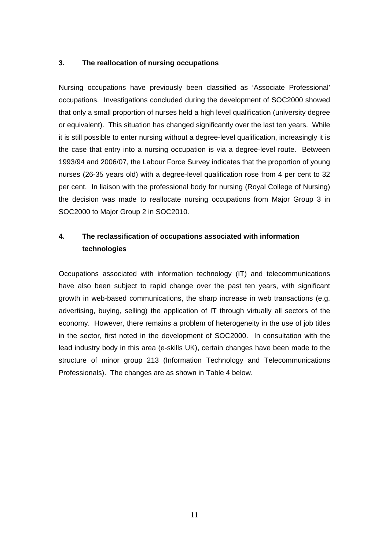# **3. The reallocation of nursing occupations**

Nursing occupations have previously been classified as 'Associate Professional' occupations. Investigations concluded during the development of SOC2000 showed that only a small proportion of nurses held a high level qualification (university degree or equivalent). This situation has changed significantly over the last ten years. While it is still possible to enter nursing without a degree-level qualification, increasingly it is the case that entry into a nursing occupation is via a degree-level route. Between 1993/94 and 2006/07, the Labour Force Survey indicates that the proportion of young nurses (26-35 years old) with a degree-level qualification rose from 4 per cent to 32 per cent. In liaison with the professional body for nursing (Royal College of Nursing) the decision was made to reallocate nursing occupations from Major Group 3 in SOC2000 to Major Group 2 in SOC2010.

# **4. The reclassification of occupations associated with information technologies**

Occupations associated with information technology (IT) and telecommunications have also been subject to rapid change over the past ten years, with significant growth in web-based communications, the sharp increase in web transactions (e.g. advertising, buying, selling) the application of IT through virtually all sectors of the economy. However, there remains a problem of heterogeneity in the use of job titles in the sector, first noted in the development of SOC2000. In consultation with the lead industry body in this area (e-skills UK), certain changes have been made to the structure of minor group 213 (Information Technology and Telecommunications Professionals). The changes are as shown in Table 4 below.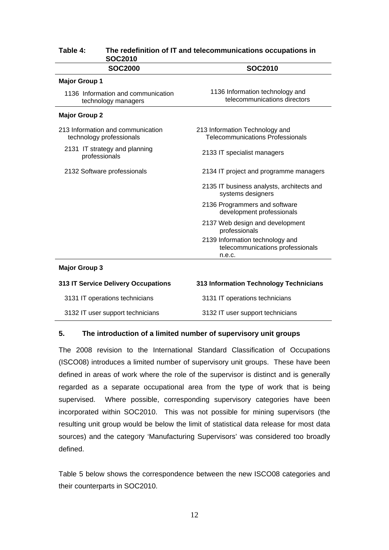| <b>SOC2010</b>                                                            |
|---------------------------------------------------------------------------|
|                                                                           |
| 1136 Information technology and<br>telecommunications directors           |
|                                                                           |
| 213 Information Technology and<br><b>Telecommunications Professionals</b> |
| 2133 IT specialist managers                                               |
| 2134 IT project and programme managers                                    |
| 2135 IT business analysts, architects and<br>systems designers            |
| 2136 Programmers and software<br>development professionals                |
| 2137 Web design and development<br>professionals                          |
| 2139 Information technology and<br>telecommunications professionals       |
|                                                                           |

# **Table 4: The redefinition of IT and telecommunications occupations in SOC2010**

#### **Major Group 3**

| 313 IT Service Delivery Occupations | 313 Information Technology Technicians |
|-------------------------------------|----------------------------------------|
| 3131 IT operations technicians      | 3131 IT operations technicians         |
| 3132 IT user support technicians    | 3132 IT user support technicians       |

#### **5. The introduction of a limited number of supervisory unit groups**

The 2008 revision to the International Standard Classification of Occupations (ISCO08) introduces a limited number of supervisory unit groups. These have been defined in areas of work where the role of the supervisor is distinct and is generally regarded as a separate occupational area from the type of work that is being supervised. Where possible, corresponding supervisory categories have been incorporated within SOC2010. This was not possible for mining supervisors (the resulting unit group would be below the limit of statistical data release for most data sources) and the category 'Manufacturing Supervisors' was considered too broadly defined.

Table 5 below shows the correspondence between the new ISCO08 categories and their counterparts in SOC2010.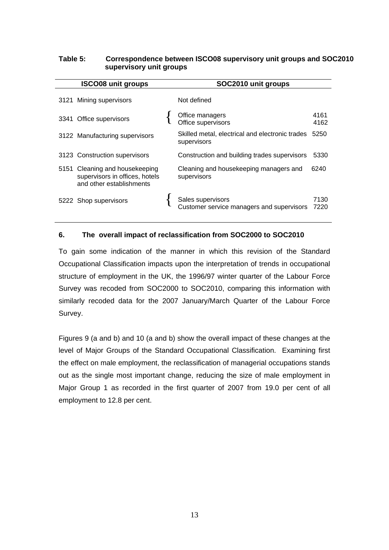## **Table 5: Correspondence between ISCO08 supervisory unit groups and SOC2010 supervisory unit groups**

| <b>ISCO08 unit groups</b>                                                                    | SOC2010 unit groups                                            |              |
|----------------------------------------------------------------------------------------------|----------------------------------------------------------------|--------------|
| 3121 Mining supervisors                                                                      | Not defined                                                    |              |
| 3341 Office supervisors                                                                      | Office managers<br>Office supervisors                          | 4161<br>4162 |
| 3122 Manufacturing supervisors                                                               | Skilled metal, electrical and electronic trades<br>supervisors | 5250         |
| 3123 Construction supervisors                                                                | Construction and building trades supervisors                   | 5330         |
| 5151 Cleaning and housekeeping<br>supervisors in offices, hotels<br>and other establishments | Cleaning and housekeeping managers and<br>supervisors          | 6240         |
| 5222 Shop supervisors                                                                        | Sales supervisors<br>Customer service managers and supervisors | 7130<br>7220 |

# **6. The overall impact of reclassification from SOC2000 to SOC2010**

To gain some indication of the manner in which this revision of the Standard Occupational Classification impacts upon the interpretation of trends in occupational structure of employment in the UK, the 1996/97 winter quarter of the Labour Force Survey was recoded from SOC2000 to SOC2010, comparing this information with similarly recoded data for the 2007 January/March Quarter of the Labour Force Survey.

Figures 9 (a and b) and 10 (a and b) show the overall impact of these changes at the level of Major Groups of the Standard Occupational Classification. Examining first the effect on male employment, the reclassification of managerial occupations stands out as the single most important change, reducing the size of male employment in Major Group 1 as recorded in the first quarter of 2007 from 19.0 per cent of all employment to 12.8 per cent.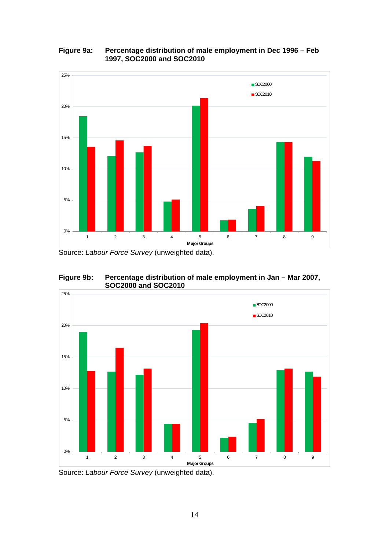#### **Figure 9a: Percentage distribution of male employment in Dec 1996 – Feb 1997, SOC2000 and SOC2010**



Source: *Labour Force Survey* (unweighted data).





Source: *Labour Force Survey* (unweighted data).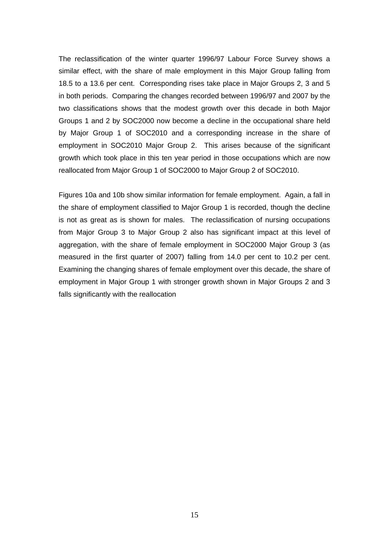The reclassification of the winter quarter 1996/97 Labour Force Survey shows a similar effect, with the share of male employment in this Major Group falling from 18.5 to a 13.6 per cent. Corresponding rises take place in Major Groups 2, 3 and 5 in both periods. Comparing the changes recorded between 1996/97 and 2007 by the two classifications shows that the modest growth over this decade in both Major Groups 1 and 2 by SOC2000 now become a decline in the occupational share held by Major Group 1 of SOC2010 and a corresponding increase in the share of employment in SOC2010 Major Group 2. This arises because of the significant growth which took place in this ten year period in those occupations which are now reallocated from Major Group 1 of SOC2000 to Major Group 2 of SOC2010.

Figures 10a and 10b show similar information for female employment. Again, a fall in the share of employment classified to Major Group 1 is recorded, though the decline is not as great as is shown for males. The reclassification of nursing occupations from Major Group 3 to Major Group 2 also has significant impact at this level of aggregation, with the share of female employment in SOC2000 Major Group 3 (as measured in the first quarter of 2007) falling from 14.0 per cent to 10.2 per cent. Examining the changing shares of female employment over this decade, the share of employment in Major Group 1 with stronger growth shown in Major Groups 2 and 3 falls significantly with the reallocation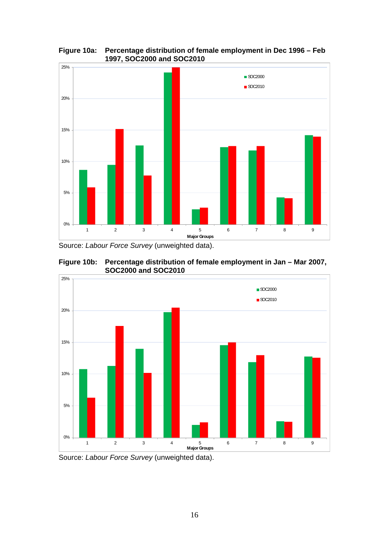

**Figure 10a: Percentage distribution of female employment in Dec 1996 – Feb 1997, SOC2000 and SOC2010** 

Source: *Labour Force Survey* (unweighted data).



**Figure 10b: Percentage distribution of female employment in Jan – Mar 2007, SOC2000 and SOC2010** 

Source: *Labour Force Survey* (unweighted data).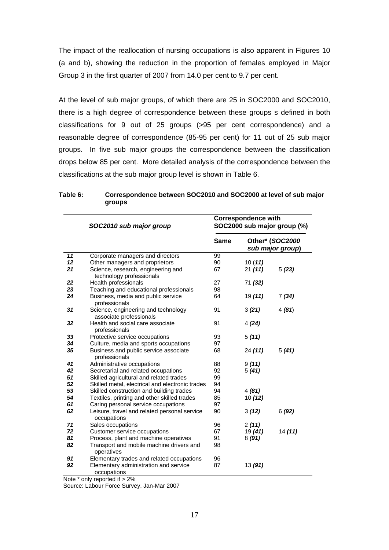The impact of the reallocation of nursing occupations is also apparent in Figures 10 (a and b), showing the reduction in the proportion of females employed in Major Group 3 in the first quarter of 2007 from 14.0 per cent to 9.7 per cent.

At the level of sub major groups, of which there are 25 in SOC2000 and SOC2010, there is a high degree of correspondence between these groups s defined in both classifications for 9 out of 25 groups (>95 per cent correspondence) and a reasonable degree of correspondence (85-95 per cent) for 11 out of 25 sub major groups. In five sub major groups the correspondence between the classification drops below 85 per cent. More detailed analysis of the correspondence between the classifications at the sub major group level is shown in Table 6.

|    | SOC2010 sub major group                                        |      | <b>Correspondence with</b><br>SOC2000 sub major group (%) |                                     |  |  |
|----|----------------------------------------------------------------|------|-----------------------------------------------------------|-------------------------------------|--|--|
|    |                                                                | Same |                                                           | Other* (SOC2000<br>sub major group) |  |  |
| 11 | Corporate managers and directors                               | 99   |                                                           |                                     |  |  |
| 12 | Other managers and proprietors                                 | 90   | 10(11)                                                    |                                     |  |  |
| 21 | Science, research, engineering and<br>technology professionals | 67   | 21 (11)                                                   | 5(23)                               |  |  |
| 22 | Health professionals                                           | 27   | 71 (32)                                                   |                                     |  |  |
| 23 | Teaching and educational professionals                         | 98   |                                                           |                                     |  |  |
| 24 | Business, media and public service<br>professionals            | 64   | 19(11)                                                    | 7(34)                               |  |  |
| 31 | Science, engineering and technology<br>associate professionals | 91   | 3(21)                                                     | 4(81)                               |  |  |
| 32 | Health and social care associate<br>professionals              | 91   | 4(24)                                                     |                                     |  |  |
| 33 | Protective service occupations                                 | 93   | 5(11)                                                     |                                     |  |  |
| 34 | Culture, media and sports occupations                          | 97   |                                                           |                                     |  |  |
| 35 | Business and public service associate<br>professionals         | 68   | 24(11)                                                    | 5(41)                               |  |  |
| 41 | Administrative occupations                                     | 88   | 9(11)                                                     |                                     |  |  |
| 42 | Secretarial and related occupations                            | 92   | 5(41)                                                     |                                     |  |  |
| 51 | Skilled agricultural and related trades                        | 99   |                                                           |                                     |  |  |
| 52 | Skilled metal, electrical and electronic trades                | 94   |                                                           |                                     |  |  |
| 53 | Skilled construction and building trades                       | 94   | 4(81)                                                     |                                     |  |  |
| 54 | Textiles, printing and other skilled trades                    | 85   | 10(12)                                                    |                                     |  |  |
| 61 | Caring personal service occupations                            | 97   |                                                           |                                     |  |  |
| 62 | Leisure, travel and related personal service<br>occupations    | 90   | 3(12)                                                     | 6(92)                               |  |  |
| 71 | Sales occupations                                              | 96   | 2(11)                                                     |                                     |  |  |
| 72 | Customer service occupations                                   | 67   | 19 (41)                                                   | 14(11)                              |  |  |
| 81 | Process, plant and machine operatives                          | 91   | 8(91)                                                     |                                     |  |  |
| 82 | Transport and mobile machine drivers and<br>operatives         | 98   |                                                           |                                     |  |  |
| 91 | Elementary trades and related occupations                      | 96   |                                                           |                                     |  |  |
| 92 | Elementary administration and service<br>occupations           | 87   | 13 (91)                                                   |                                     |  |  |
|    | Note $*$ only reported if $\sim$ 20/                           |      |                                                           |                                     |  |  |

#### **Table 6: Correspondence between SOC2010 and SOC2000 at level of sub major groups**

Note \* only reported if > 2%

Source: Labour Force Survey, Jan-Mar 2007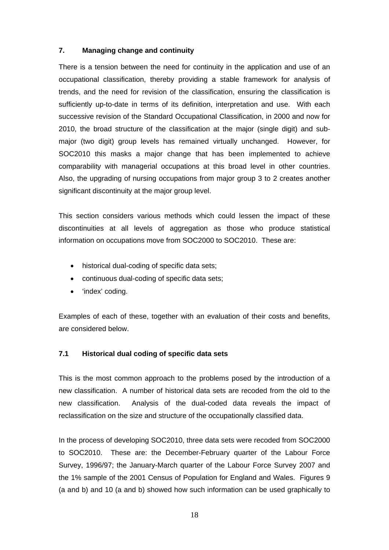#### **7. Managing change and continuity**

There is a tension between the need for continuity in the application and use of an occupational classification, thereby providing a stable framework for analysis of trends, and the need for revision of the classification, ensuring the classification is sufficiently up-to-date in terms of its definition, interpretation and use. With each successive revision of the Standard Occupational Classification, in 2000 and now for 2010, the broad structure of the classification at the major (single digit) and submajor (two digit) group levels has remained virtually unchanged. However, for SOC2010 this masks a major change that has been implemented to achieve comparability with managerial occupations at this broad level in other countries. Also, the upgrading of nursing occupations from major group 3 to 2 creates another significant discontinuity at the major group level.

This section considers various methods which could lessen the impact of these discontinuities at all levels of aggregation as those who produce statistical information on occupations move from SOC2000 to SOC2010. These are:

- historical dual-coding of specific data sets;
- continuous dual-coding of specific data sets;
- 'index' coding.

Examples of each of these, together with an evaluation of their costs and benefits, are considered below.

#### **7.1 Historical dual coding of specific data sets**

This is the most common approach to the problems posed by the introduction of a new classification. A number of historical data sets are recoded from the old to the new classification. Analysis of the dual-coded data reveals the impact of reclassification on the size and structure of the occupationally classified data.

In the process of developing SOC2010, three data sets were recoded from SOC2000 to SOC2010. These are: the December-February quarter of the Labour Force Survey, 1996/97; the January-March quarter of the Labour Force Survey 2007 and the 1% sample of the 2001 Census of Population for England and Wales. Figures 9 (a and b) and 10 (a and b) showed how such information can be used graphically to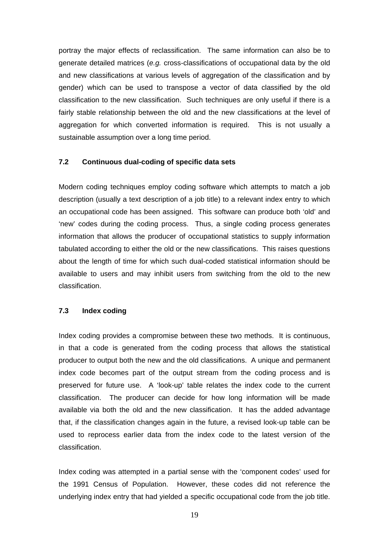portray the major effects of reclassification. The same information can also be to generate detailed matrices (*e.g.* cross-classifications of occupational data by the old and new classifications at various levels of aggregation of the classification and by gender) which can be used to transpose a vector of data classified by the old classification to the new classification. Such techniques are only useful if there is a fairly stable relationship between the old and the new classifications at the level of aggregation for which converted information is required. This is not usually a sustainable assumption over a long time period.

#### **7.2 Continuous dual-coding of specific data sets**

Modern coding techniques employ coding software which attempts to match a job description (usually a text description of a job title) to a relevant index entry to which an occupational code has been assigned. This software can produce both 'old' and 'new' codes during the coding process. Thus, a single coding process generates information that allows the producer of occupational statistics to supply information tabulated according to either the old or the new classifications. This raises questions about the length of time for which such dual-coded statistical information should be available to users and may inhibit users from switching from the old to the new classification.

## **7.3 Index coding**

Index coding provides a compromise between these two methods. It is continuous, in that a code is generated from the coding process that allows the statistical producer to output both the new and the old classifications. A unique and permanent index code becomes part of the output stream from the coding process and is preserved for future use. A 'look-up' table relates the index code to the current classification. The producer can decide for how long information will be made available via both the old and the new classification. It has the added advantage that, if the classification changes again in the future, a revised look-up table can be used to reprocess earlier data from the index code to the latest version of the classification.

Index coding was attempted in a partial sense with the 'component codes' used for the 1991 Census of Population. However, these codes did not reference the underlying index entry that had yielded a specific occupational code from the job title.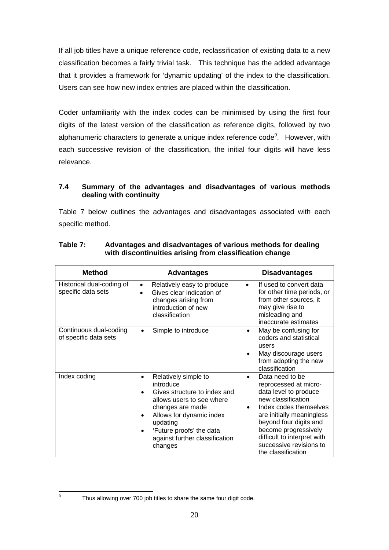If all job titles have a unique reference code, reclassification of existing data to a new classification becomes a fairly trivial task. This technique has the added advantage that it provides a framework for 'dynamic updating' of the index to the classification. Users can see how new index entries are placed within the classification.

Coder unfamiliarity with the index codes can be minimised by using the first four digits of the latest version of the classification as reference digits, followed by two alphanumeric characters to generate a unique index reference code<sup>9</sup>. However, with each successive revision of the classification, the initial four digits will have less relevance.

## **7.4 Summary of the advantages and disadvantages of various methods dealing with continuity**

Table 7 below outlines the advantages and disadvantages associated with each specific method.

| <b>Method</b>                                   | <b>Advantages</b>                                                                                                                                                                                                                                             | <b>Disadvantages</b>                                                                                                                                                                                                                                                                          |
|-------------------------------------------------|---------------------------------------------------------------------------------------------------------------------------------------------------------------------------------------------------------------------------------------------------------------|-----------------------------------------------------------------------------------------------------------------------------------------------------------------------------------------------------------------------------------------------------------------------------------------------|
| Historical dual-coding of<br>specific data sets | Relatively easy to produce<br>$\bullet$<br>Gives clear indication of<br>changes arising from<br>introduction of new<br>classification                                                                                                                         | If used to convert data<br>for other time periods, or<br>from other sources, it<br>may give rise to<br>misleading and<br>inaccurate estimates                                                                                                                                                 |
| Continuous dual-coding<br>of specific data sets | Simple to introduce<br>٠                                                                                                                                                                                                                                      | May be confusing for<br>coders and statistical<br>users<br>May discourage users<br>from adopting the new<br>classification                                                                                                                                                                    |
| Index coding                                    | Relatively simple to<br>$\bullet$<br>introduce<br>Gives structure to index and<br>allows users to see where<br>changes are made<br>Allows for dynamic index<br>$\bullet$<br>updating<br>'Future proofs' the data<br>against further classification<br>changes | Data need to be<br>$\bullet$<br>reprocessed at micro-<br>data level to produce<br>new classification<br>Index codes themselves<br>are initially meaningless<br>beyond four digits and<br>become progressively<br>difficult to interpret with<br>successive revisions to<br>the classification |

## **Table 7: Advantages and disadvantages of various methods for dealing with discontinuities arising from classification change**

Thus allowing over 700 job titles to share the same four digit code.

-<br>9